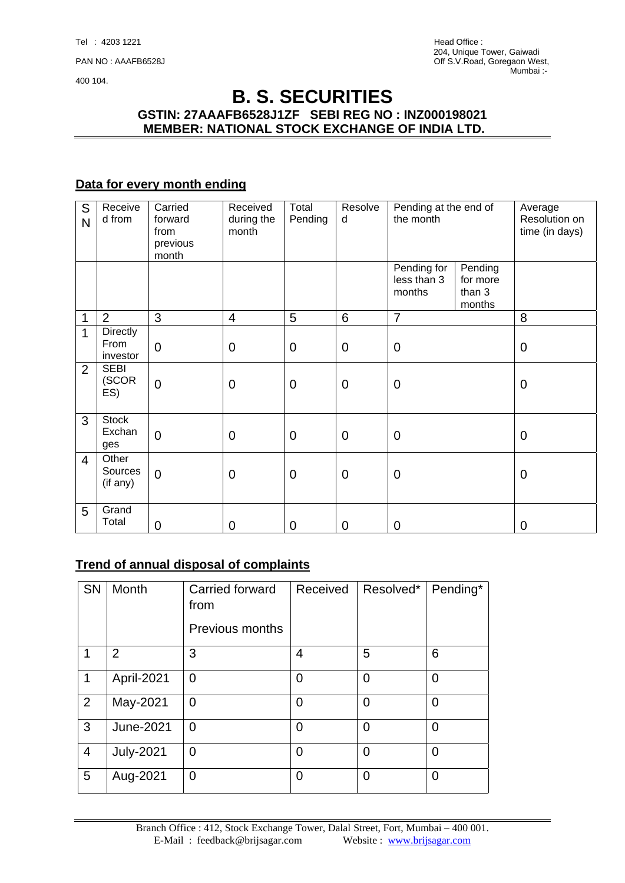# **B. S. SECURITIES GSTIN: 27AAAFB6528J1ZF SEBI REG NO : INZ000198021 MEMBER: NATIONAL STOCK EXCHANGE OF INDIA LTD.**

# **Data for every month ending**

| S<br>N         | Receive<br>d from                   | Carried<br>forward<br>from<br>previous<br>month | Received<br>during the<br>month | Total<br>Pending | Resolve<br>d    | Pending at the end of<br>the month   |                                         | Average<br>Resolution on<br>time (in days) |
|----------------|-------------------------------------|-------------------------------------------------|---------------------------------|------------------|-----------------|--------------------------------------|-----------------------------------------|--------------------------------------------|
|                |                                     |                                                 |                                 |                  |                 | Pending for<br>less than 3<br>months | Pending<br>for more<br>than 3<br>months |                                            |
| 1              | $\overline{2}$                      | 3                                               | 4                               | 5                | $6\phantom{1}6$ | $\overline{7}$                       |                                         | 8                                          |
| 1              | <b>Directly</b><br>From<br>investor | $\mathbf 0$                                     | $\mathbf 0$                     | $\mathbf 0$      | $\overline{0}$  | $\overline{0}$                       |                                         | $\mathbf 0$                                |
| $\overline{2}$ | <b>SEBI</b><br>(SCOR<br>ES)         | $\overline{0}$                                  | $\mathbf 0$                     | $\mathbf 0$      | $\mathbf 0$     | $\mathbf 0$                          |                                         | $\mathbf 0$                                |
| 3              | <b>Stock</b><br>Exchan<br>ges       | $\overline{0}$                                  | $\overline{0}$                  | $\overline{0}$   | $\overline{0}$  | $\overline{0}$                       |                                         | $\mathbf 0$                                |
| $\overline{4}$ | Other<br>Sources<br>(if any)        | $\mathbf 0$                                     | $\mathbf 0$                     | $\mathbf 0$      | $\mathbf 0$     | $\mathbf 0$                          |                                         | $\mathbf 0$                                |
| 5              | Grand<br>Total                      | 0                                               | 0                               | $\overline{0}$   | $\mathbf 0$     | $\mathbf 0$                          |                                         | $\mathbf 0$                                |

#### **Trend of annual disposal of complaints**

| <b>SN</b>      | Month            | Carried forward<br>from<br>Previous months | Received       | Resolved*      | Pending*       |
|----------------|------------------|--------------------------------------------|----------------|----------------|----------------|
| 1              | $\overline{2}$   | 3                                          | 4              | 5              | 6              |
| 1              | April-2021       | $\overline{0}$                             | 0              | $\overline{0}$ | $\overline{0}$ |
| $\overline{2}$ | May-2021         | $\overline{0}$                             | 0              | $\overline{0}$ | $\overline{0}$ |
| 3              | <b>June-2021</b> | $\overline{0}$                             | $\overline{0}$ | $\overline{0}$ | $\overline{0}$ |
| $\overline{4}$ | <b>July-2021</b> | $\overline{0}$                             | $\Omega$       | $\overline{0}$ | $\Omega$       |
| 5              | Aug-2021         | $\overline{0}$                             | $\Omega$       | $\overline{0}$ | $\Omega$       |